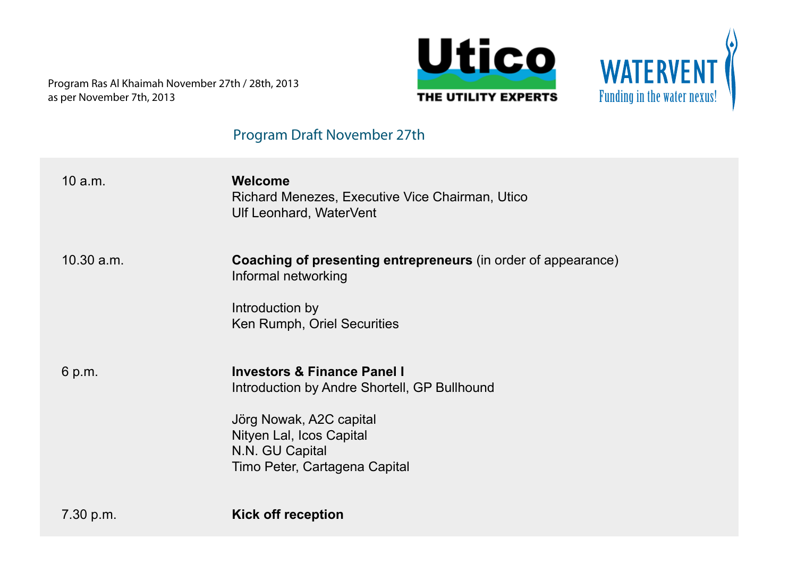



# **Program Draft November 27th**

| 10 a.m.    | Welcome<br>Richard Menezes, Executive Vice Chairman, Utico<br><b>Ulf Leonhard, WaterVent</b>                                                                                                      |
|------------|---------------------------------------------------------------------------------------------------------------------------------------------------------------------------------------------------|
| 10.30 a.m. | Coaching of presenting entrepreneurs (in order of appearance)<br>Informal networking<br>Introduction by<br>Ken Rumph, Oriel Securities                                                            |
| 6 p.m.     | <b>Investors &amp; Finance Panel I</b><br>Introduction by Andre Shortell, GP Bullhound<br>Jörg Nowak, A2C capital<br>Nityen Lal, Icos Capital<br>N.N. GU Capital<br>Timo Peter, Cartagena Capital |
| 7.30 p.m.  | <b>Kick off reception</b>                                                                                                                                                                         |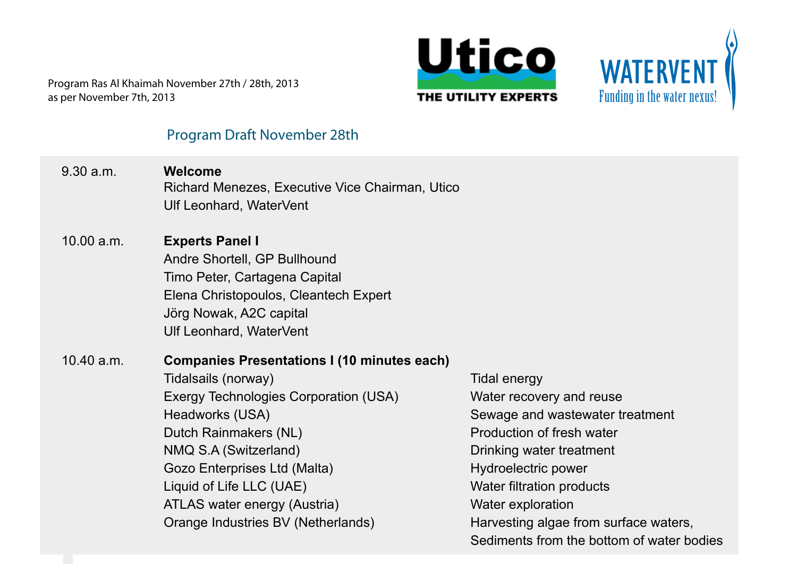



#### **Program Draft November 28th**

9.30 a.m. **Welcome** Richard Menezes, Executive Vice Chairman, Utico Ulf Leonhard, WaterVent 10.00 a.m. **Experts Panel I** Andre Shortell, GP Bullhound Timo Peter, Cartagena Capital Elena Christopoulos, Cleantech Expert Jörg Nowak, A2C capital Ulf Leonhard, WaterVent 10.40 a.m. **Companies Presentations I (10 minutes each)** Tidalsails (norway) Exergy Technologies Corporation (USA) Headworks (USA) Dutch Rainmakers (NL) NMQ S.A (Switzerland) Gozo Enterprises Ltd (Malta) Liquid of Life LLC (UAE) ATLAS water energy (Austria) Orange Industries BV (Netherlands) Tidal energy Water recovery and reuse Sewage and wastewater treatment Production of fresh water Drinking water treatment Hydroelectric power Water filtration products Water exploration Harvesting algae from surface waters, Sediments from the bottom of water bodies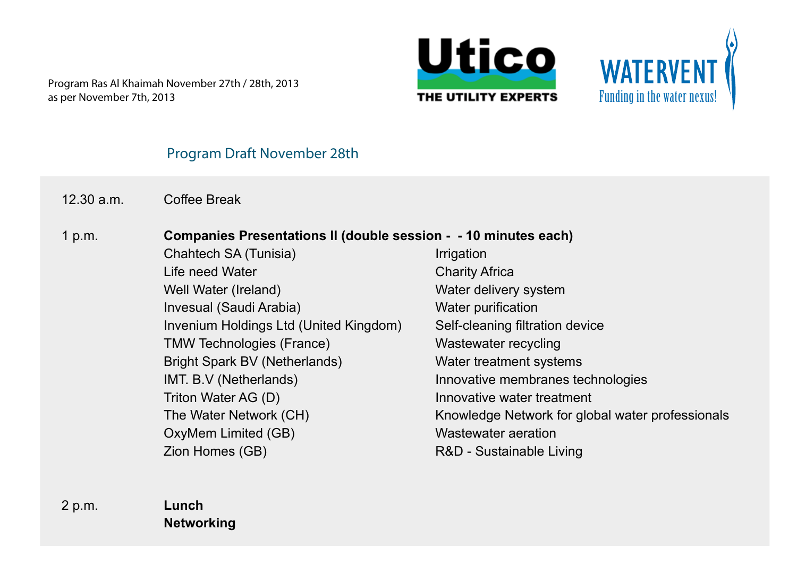



## **Program Draft November 28th**

12.30 a.m. Coffee Break

#### 1 p.m. **Companies Presentations II (double session - - 10 minutes each)**

 Chahtech SA (Tunisia) Life need Water Well Water (Ireland) Invesual (Saudi Arabia) Invenium Holdings Ltd (United Kingdom) TMW Technologies (France) Bright Spark BV (Netherlands) IMT. B.V (Netherlands) Triton Water AG (D) The Water Network (CH) OxyMem Limited (GB) Zion Homes (GB)

Irrigation Charity Africa Water delivery system Water purification Self-cleaning filtration device Wastewater recycling Water treatment systems Innovative membranes technologies Innovative water treatment Knowledge Network for global water professionals Wastewater aeration R&D - Sustainable Living

2 p.m. **Lunch Networking**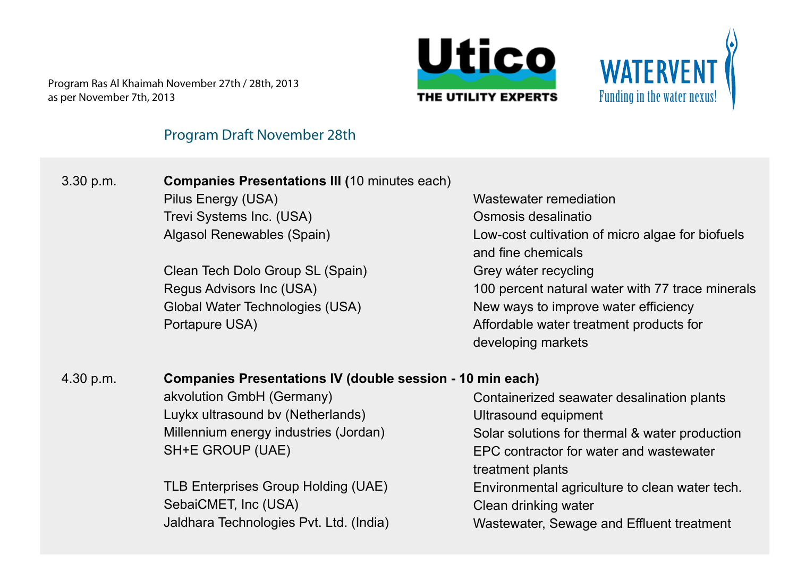



# **Program Draft November 28th**

| 3.30 p.m. | <b>Companies Presentations III (10 minutes each)</b>             |                                                                        |  |
|-----------|------------------------------------------------------------------|------------------------------------------------------------------------|--|
|           | Pilus Energy (USA)                                               | Wastewater remediation                                                 |  |
|           | Trevi Systems Inc. (USA)                                         | Osmosis desalinatio                                                    |  |
|           | Algasol Renewables (Spain)                                       | Low-cost cultivation of micro algae for biofuels<br>and fine chemicals |  |
|           | Clean Tech Dolo Group SL (Spain)                                 | Grey wáter recycling                                                   |  |
|           | Regus Advisors Inc (USA)                                         | 100 percent natural water with 77 trace minerals                       |  |
|           | Global Water Technologies (USA)                                  | New ways to improve water efficiency                                   |  |
|           | Portapure USA)                                                   | Affordable water treatment products for                                |  |
|           |                                                                  | developing markets                                                     |  |
| 4.30 p.m. | <b>Companies Presentations IV (double session - 10 min each)</b> |                                                                        |  |
|           | akvolution GmbH (Germany)                                        | Containerized seawater desalination plants                             |  |
|           | Luykx ultrasound by (Netherlands)                                | Ultrasound equipment                                                   |  |
|           | Millennium energy industries (Jordan)                            | Solar solutions for thermal & water production                         |  |
|           | SH+E GROUP (UAE)                                                 | EPC contractor for water and wastewater                                |  |
|           |                                                                  | treatment plants                                                       |  |
|           | TLB Enterprises Group Holding (UAE)                              | Environmental agriculture to clean water tech.                         |  |
|           | SebaiCMET, Inc (USA)                                             | Clean drinking water                                                   |  |
|           | Jaldhara Technologies Pvt. Ltd. (India)                          | Wastewater, Sewage and Effluent treatment                              |  |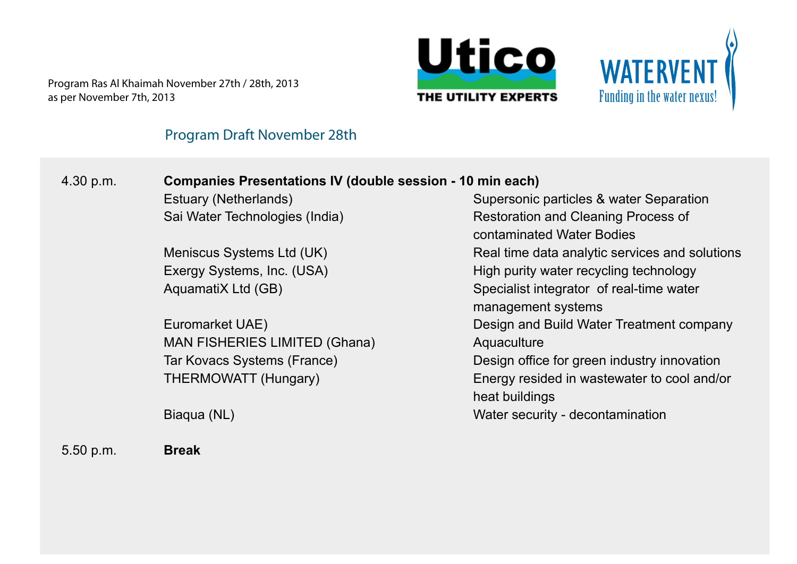



### **Program Draft November 28th**

# 4.30 p.m. **Companies Presentations IV (double session - 10 min each)**

**Estuary (Netherlands)** Sai Water Technologies (India)

 Meniscus Systems Ltd (UK) Exergy Systems, Inc. (USA) AquamatiX Ltd (GB)

 Euromarket UAE) MAN FISHERIES LIMITED (Ghana) Tar Kovacs Systems (France) THERMOWATT (Hungary)

Biaqua (NL)

5.50 p.m. **Break**

Supersonic particles & water Separation Restoration and Cleaning Process of contaminated Water Bodies Real time data analytic services and solutions High purity water recycling technology Specialist integrator of real-time water management systems Design and Build Water Treatment company **Aquaculture** Design office for green industry innovation Energy resided in wastewater to cool and/or heat buildings Water security - decontamination